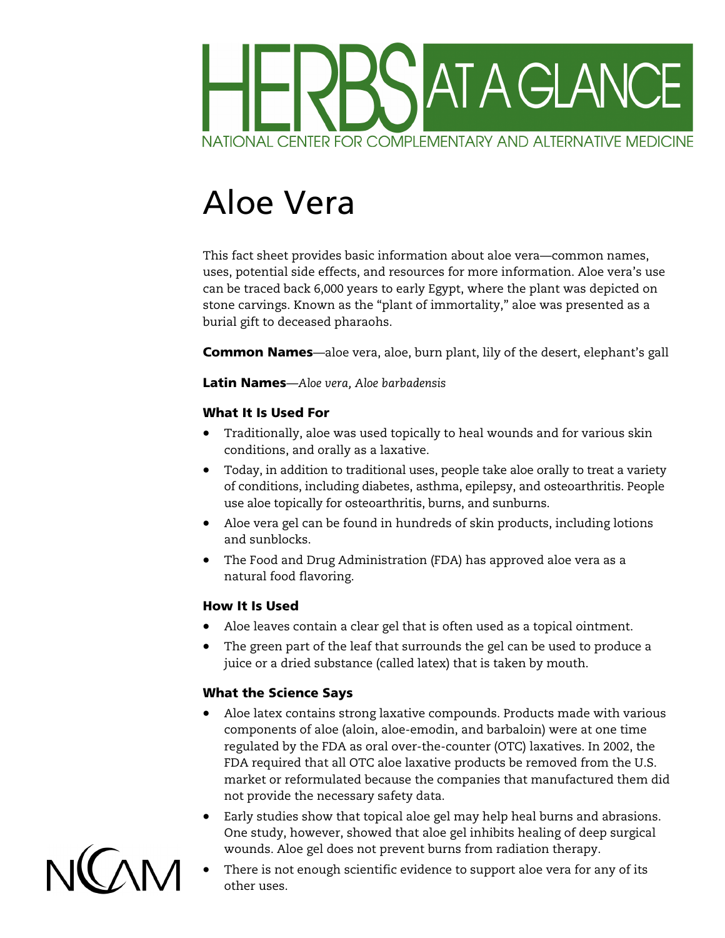

# Aloe Vera

This fact sheet provides basic information about aloe vera—common names, uses, potential side effects, and resources for more information. Aloe vera's use can be traced back 6,000 years to early Egypt, where the plant was depicted on stone carvings. Known as the "plant of immortality," aloe was presented as a burial gift to deceased pharaohs.

Common Names—aloe vera, aloe, burn plant, lily of the desert, elephant's gall

Latin Names—*Aloe vera, Aloe barbadensis* 

## What It Is Used For

- Traditionally, aloe was used topically to heal wounds and for various skin conditions, and orally as a laxative.
- Today, in addition to traditional uses, people take aloe orally to treat a variety of conditions, including diabetes, asthma, epilepsy, and osteoarthritis. People use aloe topically for osteoarthritis, burns, and sunburns.
- and sunblocks. • Aloe vera gel can be found in hundreds of skin products, including lotions
- The Food and Drug Administration (FDA) has approved aloe vera as a natural food flavoring.

## How It Is Used

- Aloe leaves contain a clear gel that is often used as a topical ointment.
- The green part of the leaf that surrounds the gel can be used to produce a juice or a dried substance (called latex) that is taken by mouth.

## What the Science Says

- Aloe latex contains strong laxative compounds. Products made with various components of aloe (aloin, aloe-emodin, and barbaloin) were at one time regulated by the FDA as oral over-the-counter (OTC) laxatives. In 2002, the FDA required that all OTC aloe laxative products be removed from the U.S. market or reformulated because the companies that manufactured them did not provide the necessary safety data.
- Early studies show that topical aloe gel may help heal burns and abrasions. One study, however, showed that aloe gel inhibits healing of deep surgical wounds. Aloe gel does not prevent burns from radiation therapy.



There is not enough scientific evidence to support aloe vera for any of its other uses.